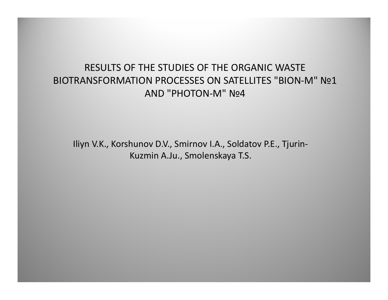## RESULTS OF THE STUDIES OF THE ORGANIC WASTE BIOTRANSFORMATION PROCESSES ON SATELLITES "BION‐M" №1 AND "PHOTON‐M" №4

Iliyn V.K., Korshunov D.V., Smirnov I.A., Soldatov P.E., Tjurin‐ Kuzmin A.Ju., Smolenskaya T.S.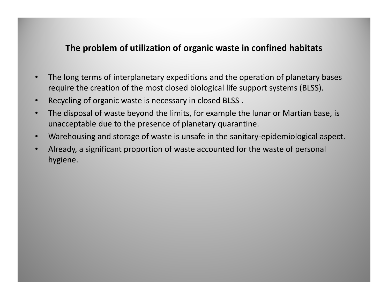## **The problem of utilization of organic waste in confined habitat s**

- • The long terms of interplanetary expeditions and the operation of planetary bases require the creation of the most closed biological life support systems (BLSS).
- $\bullet$ Recycling of organic waste is necessary in closed BLSS .
- • The disposal of waste beyond the limits, for example the lunar or Martian base, is unacceptable due to the presence of planetary quarantine.
- •Warehousing and storage of waste is unsafe in the sanitary‐epidemiological aspect.
- • Already, a significant proportion of waste accounted for the waste of personal hygiene.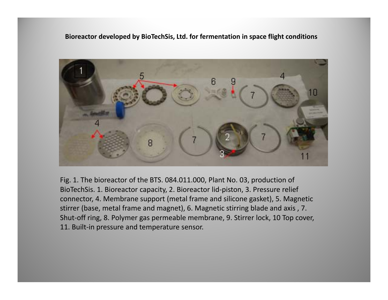## **Bioreactor developed by BioTechSis, Ltd. for fermentation in space flight conditions**



Fig. 1. The bioreactor of the BTS. 084.011.000, Plant No. 03, production of BioTechSis. 1. Bioreactor capacity, 2. Bioreactor lid‐piston, 3. Pressure relief connector, 4. Membrane support (metal frame and silicone gasket), 5. Magnetic stirrer (base, metal frame and magnet), 6. Magnetic stirring blade and axis , 7. Shut‐off ring, 8. Polymer gas permeable membrane, 9. Stirrer lock, 10 Top cover, 11. Built-in pressure and temperature sensor.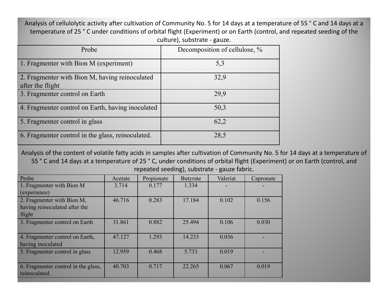|                                                                    | culture), substrate - gauze.  |  |  |  |  |  |
|--------------------------------------------------------------------|-------------------------------|--|--|--|--|--|
| Probe                                                              | Decomposition of cellulose, % |  |  |  |  |  |
| 1. Fragmenter with Bion M (experiment)                             | 5,3                           |  |  |  |  |  |
| 2. Fragmenter with Bion M, having reinoculated<br>after the flight | 32,9                          |  |  |  |  |  |
| 3. Fragmenter control on Earth                                     | 29,9                          |  |  |  |  |  |
| 4. Fragmenter control on Earth, having inoculated                  | 50,3                          |  |  |  |  |  |
| 5. Fragmenter control in glass                                     | 62,2                          |  |  |  |  |  |
| 6. Fragmenter control in the glass, reinoculated.                  | 28,5                          |  |  |  |  |  |

Analysis of the content of volatile fatty acids in samples after cultivation of Community No. 5 for 14 days at a temperature of 55 ° C and 14 days at a temperature of 25 ° C, under conditions of orbital flight (Experiment) or on Earth (control, and repeated seeding), substrate ‐ gauze fabric.

Analysis of cellulolytic activity after cultivation of Community No. 5 for 14 days at a temperature of 55 ° C and 14 days at a temperature of 25 ° C under conditions of orbital flight (Experiment) or on Earth (control, and repeated seeding of the

| Probe                               | Acetate | Propionate | Butyrate | Valeriat | Capronate |
|-------------------------------------|---------|------------|----------|----------|-----------|
| 1. Fragmenter with Bion M           | 3.714   | 0.177      | 1.334    |          |           |
| (experience)                        |         |            |          |          |           |
| 2. Fragmenter with Bion M,          | 46.716  | 0.283      | 17.184   | 0.102    | 0.156     |
| having reinoculated after the       |         |            |          |          |           |
| flight                              |         |            |          |          |           |
| 3. Fragmenter control on Earth      | 31.861  | 0.882      | 25.494   | 0.106    | 0.030     |
|                                     |         |            |          |          |           |
| 4. Fragmenter control on Earth,     | 47.127  | 1.293      | 14.233   | 0.036    |           |
| having inoculated                   |         |            |          |          |           |
| 5. Fragmenter control in glass      | 12.959  | 0.468      | 5.733    | 0.019    |           |
|                                     |         |            |          |          |           |
| 6. Fragmenter control in the glass, | 40.703  | 0.717      | 22.265   | 0.067    | 0.019     |
| reinoculated.                       |         |            |          |          |           |
|                                     |         |            |          |          |           |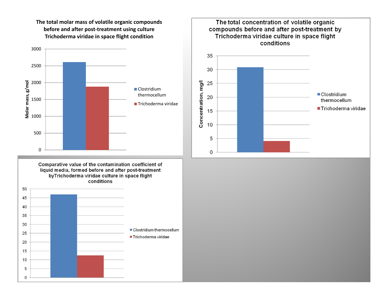**The total molar mass of volatile organic compounds before and after post‐treatment using culture Trichoderma viridae in space flight condition**



Comparative value of the contamination coefficient of liquid media, formed before and after post-treatment byTrichoderma viridae culture in space flight conditions



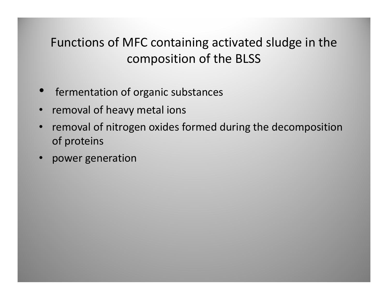## Functions of MFC containing activated sludge in the composition of the BLSS

- •fermentation of organic substances
- •removal of heavy metal ions
- • removal of nitrogen oxides formed during the decomposition of proteins
- •power generation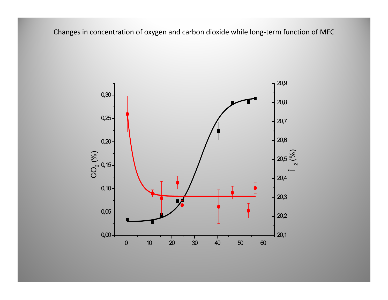Changes in concentration of oxygen and carbon dioxide while long‐term function of MFC

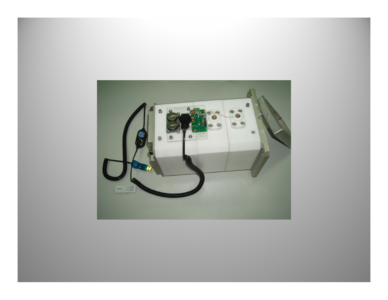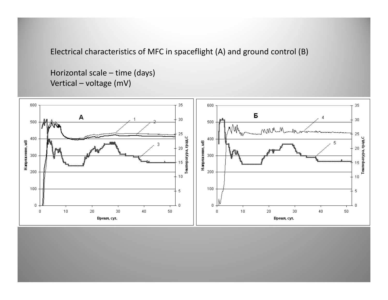Electrical characteristics of MFC in spaceflight (A) and ground control (B)

```
Horizontal scale – time (days)
Vertical – voltage (mV)
```
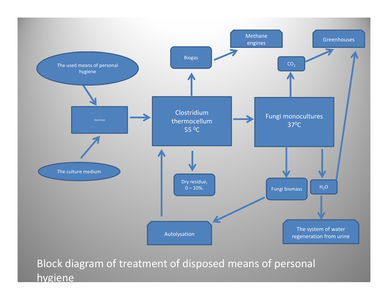

Block diagram of treatment of disposed means of personal hygiene